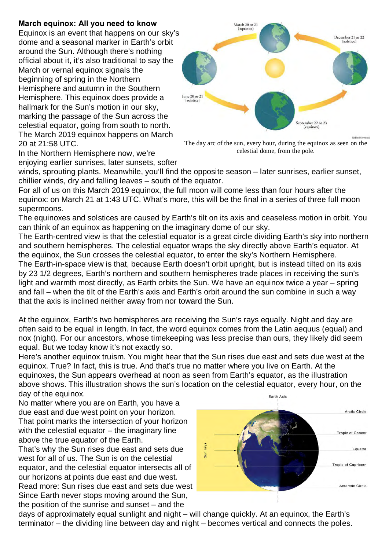## **March equinox: All you need to know**

Equinox is an event that happens on our sky's dome and a seasonal marker in Earth's orbit around the Sun. Although there's nothing official about it, it's also traditional to say the March or vernal equinox signals the beginning of spring in the Northern Hemisphere and autumn in the Southern Hemisphere. This equinox does provide a hallmark for the Sun's motion in our sky, marking the passage of the Sun across the celestial equator, going from south to north. The March 2019 equinox happens on March 20 at 21:58 UTC.



The day arc of the sun, every hour, during the equinox as seen on the celestial dome, from the pole.

In the Northern Hemisphere now, we're enjoying earlier sunrises, later sunsets, softer

winds, sprouting plants. Meanwhile, you'll find the opposite season – later sunrises, earlier sunset, chillier winds, dry and falling leaves – south of the equator.

For all of us on this March 2019 equinox, the full moon will come less than four hours after the equinox: on March 21 at 1:43 UTC. What's more, this will be the final in a series of three full moon supermoons.

The equinoxes and solstices are caused by Earth's tilt on its axis and ceaseless motion in orbit. You can think of an equinox as happening on the imaginary dome of our sky.

The Earth-centred view is that the celestial equator is a great circle dividing Earth's sky into northern and southern hemispheres. The celestial equator wraps the sky directly above Earth's equator. At the equinox, the Sun crosses the celestial equator, to enter the sky's Northern Hemisphere.

The Earth-in-space view is that, because Earth doesn't orbit upright, but is instead tilted on its axis by 23 1/2 degrees, Earth's northern and southern hemispheres trade places in receiving the sun's light and warmth most directly, as Earth orbits the Sun. We have an equinox twice a year – spring and fall – when the tilt of the Earth's axis and Earth's orbit around the sun combine in such a way that the axis is inclined neither away from nor toward the Sun.

At the equinox, Earth's two hemispheres are receiving the Sun's rays equally. Night and day are often said to be equal in length. In fact, the word equinox comes from the Latin aequus (equal) and nox (night). For our ancestors, whose timekeeping was less precise than ours, they likely did seem equal. But we today know it's not exactly so.

Here's another equinox truism. You might hear that the Sun rises due east and sets due west at the equinox. True? In fact, this is true. And that's true no matter where you live on Earth. At the equinoxes, the Sun appears overhead at noon as seen from Earth's equator, as the illustration above shows. This illustration shows the sun's location on the celestial equator, every hour, on the day of the equinox. Earth Axis

No matter where you are on Earth, you have a due east and due west point on your horizon. That point marks the intersection of your horizon with the celestial equator  $-$  the imaginary line above the true equator of the Earth.

That's why the Sun rises due east and sets due west for all of us. The Sun is on the celestial equator, and the celestial equator intersects all of our horizons at points due east and due west. Read more: Sun rises due east and sets due west Since Earth never stops moving around the Sun, the position of the sunrise and sunset – and the



days of approximately equal sunlight and night – will change quickly. At an equinox, the Earth's terminator – the dividing line between day and night – becomes vertical and connects the poles.